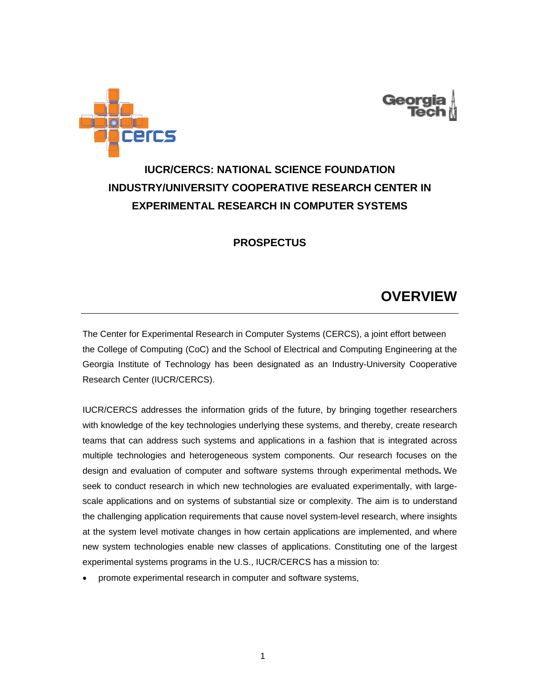



# **IUCR/CERCS: NATIONAL SCIENCE FOUNDATION INDUSTRY/UNIVERSITY COOPERATIVE RESEARCH CENTER IN EXPERIMENTAL RESEARCH IN COMPUTER SYSTEMS**

### **PROSPECTUS**

## **OVERVIEW**

The Center for Experimental Research in Computer Systems (CERCS), a joint effort between the College of Computing (CoC) and the School of Electrical and Computing Engineering at the Georgia Institute of Technology has been designated as an Industry-University Cooperative Research Center (IUCR/CERCS).

IUCR/CERCS addresses the information grids of the future, by bringing together researchers with knowledge of the key technologies underlying these systems, and thereby, create research teams that can address such systems and applications in a fashion that is integrated across multiple technologies and heterogeneous system components. Our research focuses on the design and evaluation of computer and software systems through experimental methods**.** We seek to conduct research in which new technologies are evaluated experimentally, with largescale applications and on systems of substantial size or complexity. The aim is to understand the challenging application requirements that cause novel system-level research, where insights at the system level motivate changes in how certain applications are implemented, and where new system technologies enable new classes of applications. Constituting one of the largest experimental systems programs in the U.S., IUCR/CERCS has a mission to:

• promote experimental research in computer and software systems,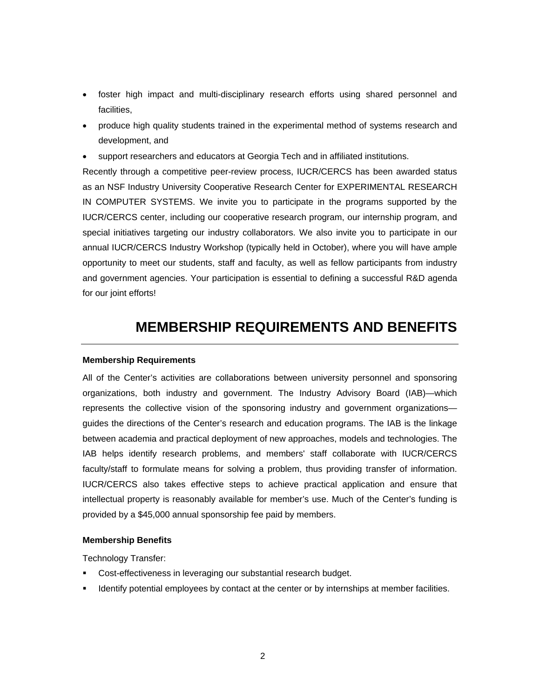- foster high impact and multi-disciplinary research efforts using shared personnel and facilities,
- produce high quality students trained in the experimental method of systems research and development, and
- support researchers and educators at Georgia Tech and in affiliated institutions.

Recently through a competitive peer-review process, IUCR/CERCS has been awarded status as an NSF Industry University Cooperative Research Center for EXPERIMENTAL RESEARCH IN COMPUTER SYSTEMS. We invite you to participate in the programs supported by the IUCR/CERCS center, including our cooperative research program, our internship program, and special initiatives targeting our industry collaborators. We also invite you to participate in our annual IUCR/CERCS Industry Workshop (typically held in October), where you will have ample opportunity to meet our students, staff and faculty, as well as fellow participants from industry and government agencies. Your participation is essential to defining a successful R&D agenda for our joint efforts!

### **MEMBERSHIP REQUIREMENTS AND BENEFITS**

#### **Membership Requirements**

All of the Center's activities are collaborations between university personnel and sponsoring organizations, both industry and government. The Industry Advisory Board (IAB)—which represents the collective vision of the sponsoring industry and government organizations guides the directions of the Center's research and education programs. The IAB is the linkage between academia and practical deployment of new approaches, models and technologies. The IAB helps identify research problems, and members' staff collaborate with IUCR/CERCS faculty/staff to formulate means for solving a problem, thus providing transfer of information. IUCR/CERCS also takes effective steps to achieve practical application and ensure that intellectual property is reasonably available for member's use. Much of the Center's funding is provided by a \$45,000 annual sponsorship fee paid by members.

#### **Membership Benefits**

Technology Transfer:

- **Cost-effectiveness in leveraging our substantial research budget.**
- Identify potential employees by contact at the center or by internships at member facilities.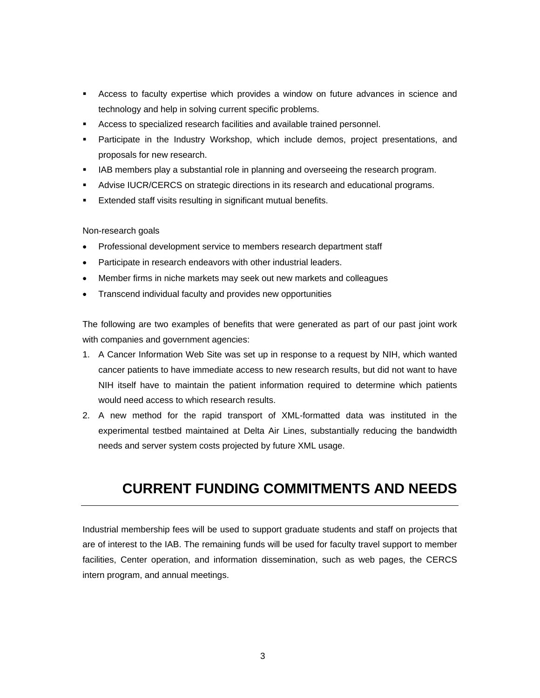- Access to faculty expertise which provides a window on future advances in science and technology and help in solving current specific problems.
- Access to specialized research facilities and available trained personnel.
- Participate in the Industry Workshop, which include demos, project presentations, and proposals for new research.
- IAB members play a substantial role in planning and overseeing the research program.
- Advise IUCR/CERCS on strategic directions in its research and educational programs.
- **Extended staff visits resulting in significant mutual benefits.**

Non-research goals

- Professional development service to members research department staff
- Participate in research endeavors with other industrial leaders.
- Member firms in niche markets may seek out new markets and colleagues
- Transcend individual faculty and provides new opportunities

The following are two examples of benefits that were generated as part of our past joint work with companies and government agencies:

- 1. A Cancer Information Web Site was set up in response to a request by NIH, which wanted cancer patients to have immediate access to new research results, but did not want to have NIH itself have to maintain the patient information required to determine which patients would need access to which research results.
- 2. A new method for the rapid transport of XML-formatted data was instituted in the experimental testbed maintained at Delta Air Lines, substantially reducing the bandwidth needs and server system costs projected by future XML usage.

## **CURRENT FUNDING COMMITMENTS AND NEEDS**

Industrial membership fees will be used to support graduate students and staff on projects that are of interest to the IAB. The remaining funds will be used for faculty travel support to member facilities, Center operation, and information dissemination, such as web pages, the CERCS intern program, and annual meetings.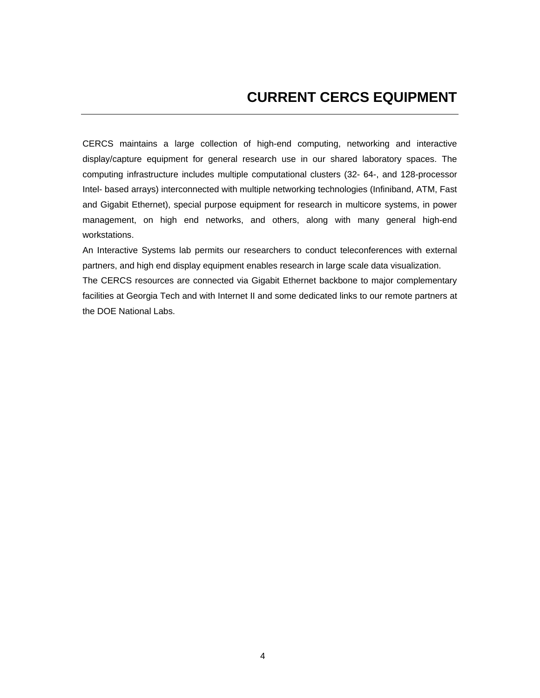CERCS maintains a large collection of high-end computing, networking and interactive display/capture equipment for general research use in our shared laboratory spaces. The computing infrastructure includes multiple computational clusters (32- 64-, and 128-processor Intel- based arrays) interconnected with multiple networking technologies (Infiniband, ATM, Fast and Gigabit Ethernet), special purpose equipment for research in multicore systems, in power management, on high end networks, and others, along with many general high-end workstations.

An Interactive Systems lab permits our researchers to conduct teleconferences with external partners, and high end display equipment enables research in large scale data visualization. The CERCS resources are connected via Gigabit Ethernet backbone to major complementary facilities at Georgia Tech and with Internet II and some dedicated links to our remote partners at the DOE National Labs.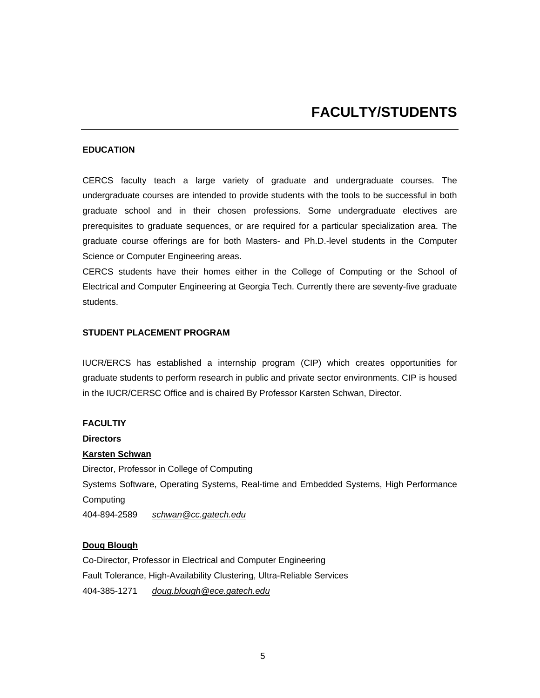#### **EDUCATION**

CERCS faculty teach a large variety of graduate and undergraduate courses. The undergraduate courses are intended to provide students with the tools to be successful in both graduate school and in their chosen professions. Some undergraduate electives are prerequisites to graduate sequences, or are required for a particular specialization area. The graduate course offerings are for both Masters- and Ph.D.-level students in the Computer Science or Computer Engineering areas.

CERCS students have their homes either in the College of Computing or the School of Electrical and Computer Engineering at Georgia Tech. Currently there are seventy-five graduate students.

#### **STUDENT PLACEMENT PROGRAM**

IUCR/ERCS has established a internship program (CIP) which creates opportunities for graduate students to perform research in public and private sector environments. CIP is housed in the IUCR/CERSC Office and is chaired By Professor Karsten Schwan, Director.

#### **FACULTIY**

**Directors**

#### **Karsten Schwan**

Director, Professor in College of Computing Systems Software, Operating Systems, Real-time and Embedded Systems, High Performance Computing 404-894-2589 *schwan@cc.gatech.edu* 

#### **Doug Blough**

Co-Director, Professor in Electrical and Computer Engineering Fault Tolerance, High-Availability Clustering, Ultra-Reliable Services 404-385-1271 *doug.blough@ece.gatech.edu*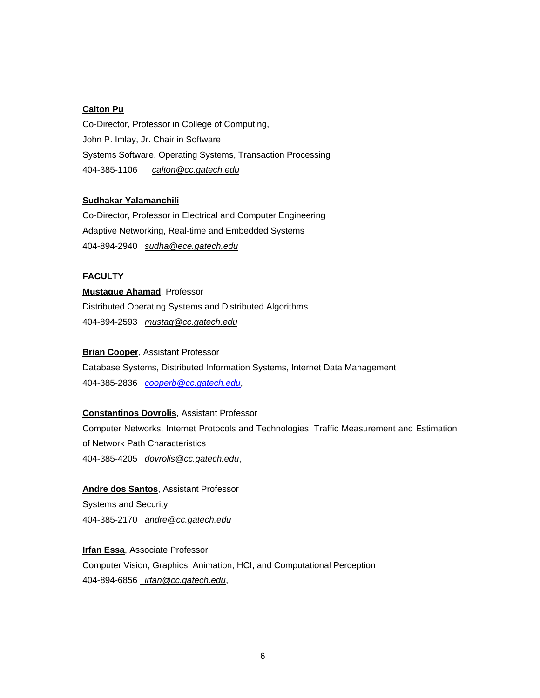#### **Calton Pu**

Co-Director, Professor in College of Computing, John P. Imlay, Jr. Chair in Software Systems Software, Operating Systems, Transaction Processing 404-385-1106 *calton@cc.gatech.edu*

#### **Sudhakar Yalamanchili**

Co-Director, Professor in Electrical and Computer Engineering Adaptive Networking, Real-time and Embedded Systems 404-894-2940 *sudha@ece.gatech.edu*

### **FACULTY**

#### **Mustaque Ahamad**, Professor

Distributed Operating Systems and Distributed Algorithms 404-894-2593 *mustaq@cc.gatech.edu*

#### **Brian Cooper**, Assistant Professor

Database Systems, Distributed Information Systems, Internet Data Management 404-385-2836 *cooperb@cc.gatech.edu*,

#### **Constantinos Dovrolis**, Assistant Professor

Computer Networks, Internet Protocols and Technologies, Traffic Measurement and Estimation of Network Path Characteristics 404-385-4205 *dovrolis@cc.gatech.edu*,

**Andre dos Santos**, Assistant Professor Systems and Security 404-385-2170 *andre@cc.gatech.edu*

**Irfan Essa**, Associate Professor Computer Vision, Graphics, Animation, HCI, and Computational Perception 404-894-6856 *irfan@cc.gatech.edu*,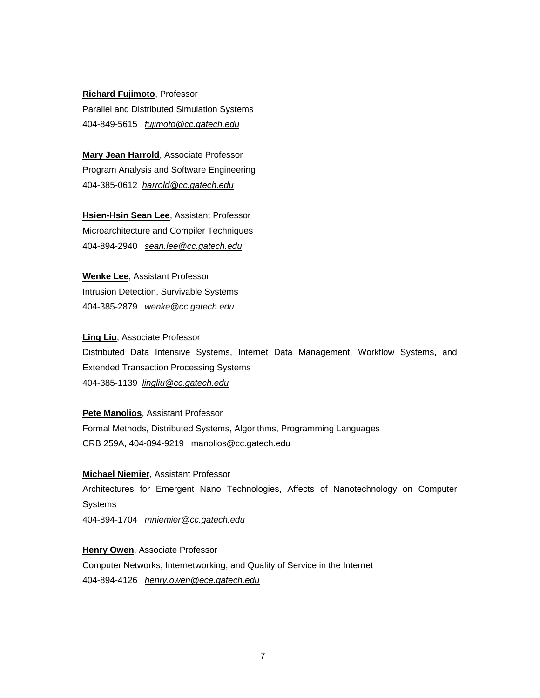**Richard Fujimoto**, Professor Parallel and Distributed Simulation Systems 404-849-5615 *fujimoto@cc.gatech.edu*

**Mary Jean Harrold**, Associate Professor Program Analysis and Software Engineering 404-385-0612 *harrold@cc.gatech.edu*

**Hsien-Hsin Sean Lee**, Assistant Professor Microarchitecture and Compiler Techniques 404-894-2940 *sean.lee@cc.gatech.edu*

**Wenke Lee**, Assistant Professor Intrusion Detection, Survivable Systems 404-385-2879 *wenke@cc.gatech.edu*

**Ling Liu**, Associate Professor Distributed Data Intensive Systems, Internet Data Management, Workflow Systems, and Extended Transaction Processing Systems 404-385-1139 *lingliu@cc.gatech.edu*

**Pete Manolios**, Assistant Professor Formal Methods, Distributed Systems, Algorithms, Programming Languages CRB 259A, 404-894-9219 manolios@cc.gatech.edu

**Michael Niemier**, Assistant Professor Architectures for Emergent Nano Technologies, Affects of Nanotechnology on Computer Systems 404-894-1704 *mniemier@cc.gatech.edu*

**Henry Owen**, Associate Professor Computer Networks, Internetworking, and Quality of Service in the Internet 404-894-4126 *henry.owen@ece.gatech.edu*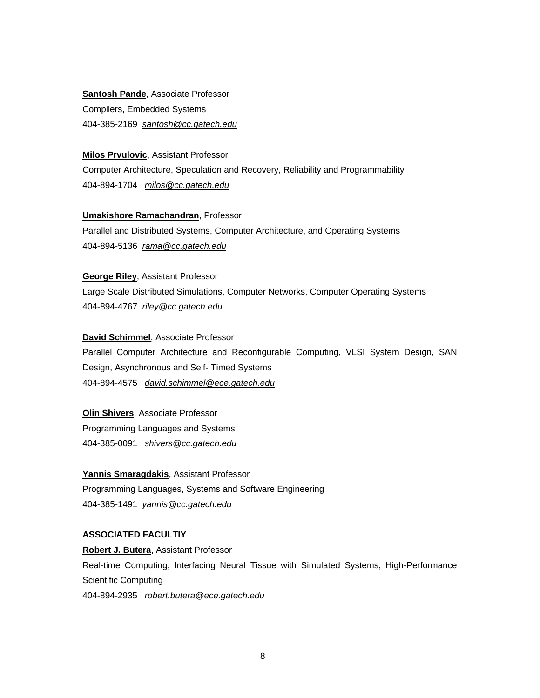**Santosh Pande**, Associate Professor Compilers, Embedded Systems 404-385-2169 *santosh@cc.gatech.edu*

**Milos Prvulovic**, Assistant Professor Computer Architecture, Speculation and Recovery, Reliability and Programmability 404-894-1704 *milos@cc.gatech.edu*

**Umakishore Ramachandran**, Professor

Parallel and Distributed Systems, Computer Architecture, and Operating Systems 404-894-5136 *rama@cc.gatech.edu*

**George Riley**, Assistant Professor Large Scale Distributed Simulations, Computer Networks, Computer Operating Systems 404-894-4767 *riley@cc.gatech.edu*

#### **David Schimmel**, Associate Professor

Parallel Computer Architecture and Reconfigurable Computing, VLSI System Design, SAN Design, Asynchronous and Self- Timed Systems 404-894-4575 *david.schimmel@ece.gatech.edu*

**Olin Shivers**, Associate Professor Programming Languages and Systems 404-385-0091 *shivers@cc.gatech.edu*

#### **Yannis Smaragdakis**, Assistant Professor

Programming Languages, Systems and Software Engineering 404-385-1491 *yannis@cc.gatech.edu*

#### **ASSOCIATED FACULTIY**

**Robert J. Butera**, Assistant Professor Real-time Computing, Interfacing Neural Tissue with Simulated Systems, High-Performance Scientific Computing 404-894-2935 *robert.butera@ece.gatech.edu*